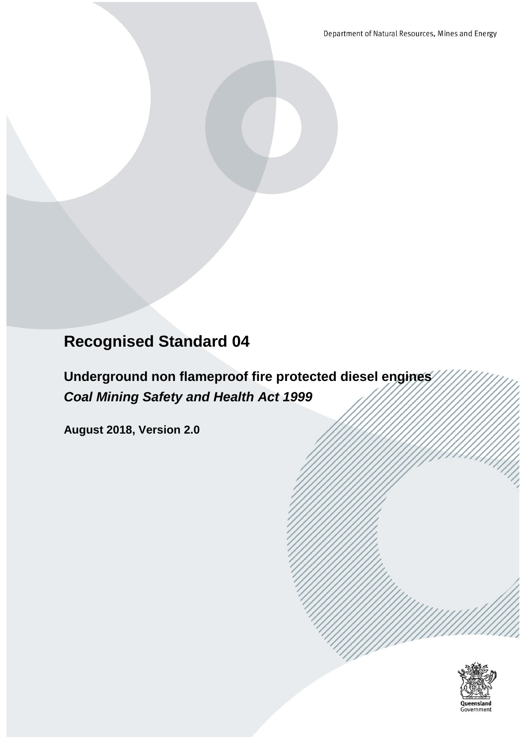Department of Natural Resources, Mines and Energy

# **Recognised Standard 04**

**Underground non flameproof fire protected diesel engines** *Coal Mining Safety and Health Act 1999*

**August 2018, Version 2.0**

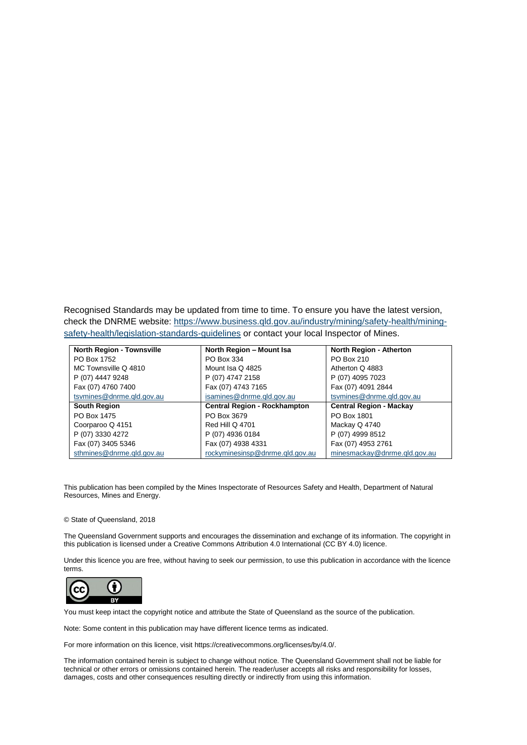Recognised Standards may be updated from time to time. To ensure you have the latest version, check the DNRME website: [https://www.business.qld.gov.au/industry/mining/safety-health/mining](https://www.business.qld.gov.au/industry/mining/safety-health/mining-safety-health/legislation-standards-guidelines)[safety-health/legislation-standards-guidelines](https://www.business.qld.gov.au/industry/mining/safety-health/mining-safety-health/legislation-standards-guidelines) or contact your local Inspector of Mines.

| <b>North Region - Townsville</b> | North Region - Mount Isa            | <b>North Region - Atherton</b> |
|----------------------------------|-------------------------------------|--------------------------------|
| PO Box 1752                      | PO Box 334                          | PO Box 210                     |
| MC Townsville Q 4810             | Mount Isa Q 4825                    | Atherton Q 4883                |
| P (07) 4447 9248                 | P (07) 4747 2158                    | P (07) 4095 7023               |
| Fax (07) 4760 7400               | Fax (07) 4743 7165                  | Fax (07) 4091 2844             |
| tsymines@dnrme.gld.gov.au        | isamines@dnrme.gld.gov.au           | tsymines@dnrme.gld.gov.au      |
| <b>South Region</b>              | <b>Central Region - Rockhampton</b> | <b>Central Region - Mackay</b> |
| PO Box 1475                      | PO Box 3679                         | PO Box 1801                    |
| Coorparoo Q 4151                 | <b>Red Hill Q 4701</b>              | Mackay Q 4740                  |
| P (07) 3330 4272                 | P (07) 4936 0184                    | P (07) 4999 8512               |
| Fax (07) 3405 5346               | Fax (07) 4938 4331                  | Fax (07) 4953 2761             |
| sthmines@dnrme.gld.gov.au        | rockyminesinsp@dnrme.gld.gov.au     | minesmackay@dnrme.gld.gov.au   |

This publication has been compiled by the Mines Inspectorate of Resources Safety and Health, Department of Natural Resources, Mines and Energy.

#### © State of Queensland, 2018

The Queensland Government supports and encourages the dissemination and exchange of its information. The copyright in this publication is licensed under a Creative Commons Attribution 4.0 International (CC BY 4.0) licence.

Under this licence you are free, without having to seek our permission, to use this publication in accordance with the licence terms.



You must keep intact the copyright notice and attribute the State of Queensland as the source of the publication.

Note: Some content in this publication may have different licence terms as indicated.

For more information on this licence, visit https://creativecommons.org/licenses/by/4.0/.

The information contained herein is subject to change without notice. The Queensland Government shall not be liable for technical or other errors or omissions contained herein. The reader/user accepts all risks and responsibility for losses, damages, costs and other consequences resulting directly or indirectly from using this information.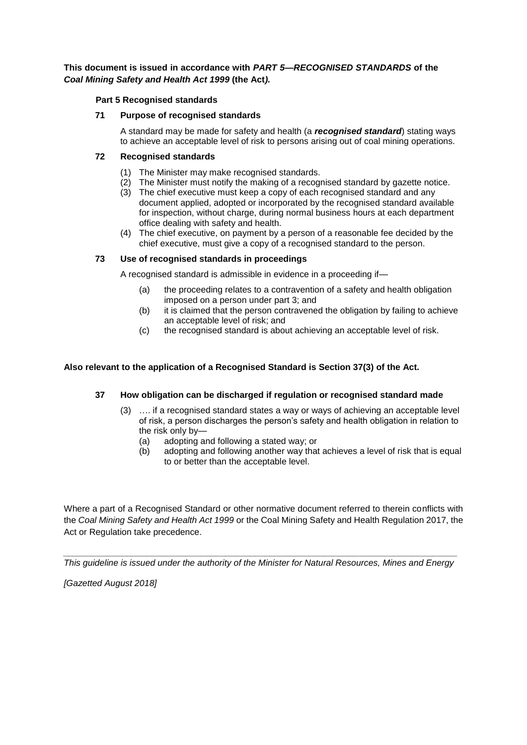### **This document is issued in accordance with** *PART 5—RECOGNISED STANDARDS* **of the** *Coal Mining Safety and Health Act 1999* **(the Act***).*

### **Part 5 Recognised standards**

#### **71 Purpose of recognised standards**

A standard may be made for safety and health (a *recognised standard*) stating ways to achieve an acceptable level of risk to persons arising out of coal mining operations.

#### **72 Recognised standards**

- (1) The Minister may make recognised standards.
- (2) The Minister must notify the making of a recognised standard by gazette notice.
- (3) The chief executive must keep a copy of each recognised standard and any document applied, adopted or incorporated by the recognised standard available for inspection, without charge, during normal business hours at each department office dealing with safety and health.
- (4) The chief executive, on payment by a person of a reasonable fee decided by the chief executive, must give a copy of a recognised standard to the person.

### **73 Use of recognised standards in proceedings**

A recognised standard is admissible in evidence in a proceeding if—

- (a) the proceeding relates to a contravention of a safety and health obligation imposed on a person under part 3; and
- (b) it is claimed that the person contravened the obligation by failing to achieve an acceptable level of risk; and
- (c) the recognised standard is about achieving an acceptable level of risk.

### **Also relevant to the application of a Recognised Standard is Section 37(3) of the Act.**

### **37 How obligation can be discharged if regulation or recognised standard made**

- (3) …. if a recognised standard states a way or ways of achieving an acceptable level of risk, a person discharges the person's safety and health obligation in relation to the risk only by—
	- (a) adopting and following a stated way; or
	- (b) adopting and following another way that achieves a level of risk that is equal to or better than the acceptable level.

Where a part of a Recognised Standard or other normative document referred to therein conflicts with the *Coal Mining Safety and Health Act 1999* or the Coal Mining Safety and Health Regulation 2017, the Act or Regulation take precedence.

*\_\_\_\_\_\_\_\_\_\_\_\_\_\_\_\_\_\_\_\_\_\_\_\_\_\_\_\_\_\_\_\_\_\_\_\_\_\_\_\_\_\_\_\_\_\_\_\_\_\_\_\_\_\_\_\_\_\_\_\_\_\_\_\_\_\_\_\_\_\_\_\_\_\_\_\_\_\_\_\_ This guideline is issued under the authority of the Minister for Natural Resources, Mines and Energy* 

*[Gazetted August 2018]*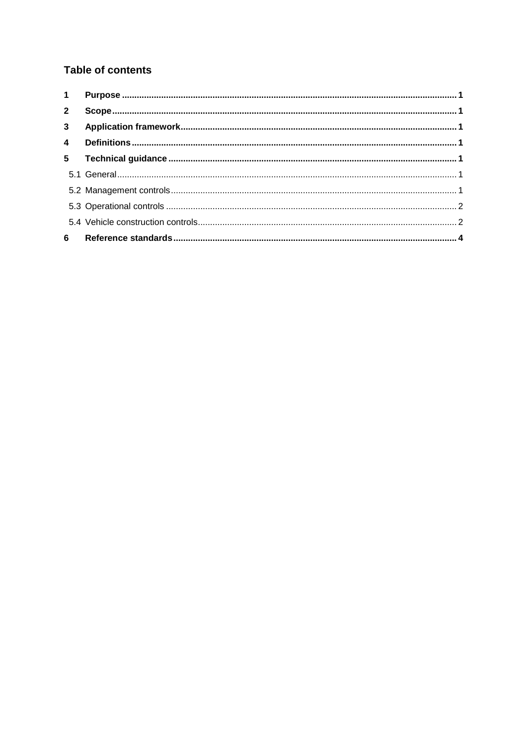## **Table of contents**

| $1 \quad$      |  |
|----------------|--|
| $2^{\circ}$    |  |
| 3 <sup>7</sup> |  |
| $\overline{4}$ |  |
| 5 <sup>5</sup> |  |
|                |  |
|                |  |
|                |  |
|                |  |
| 6              |  |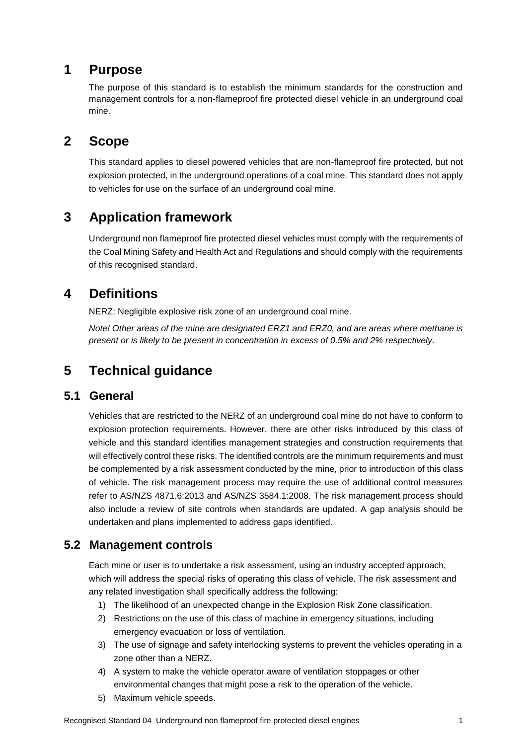# <span id="page-4-0"></span>**1 Purpose**

The purpose of this standard is to establish the minimum standards for the construction and management controls for a non-flameproof fire protected diesel vehicle in an underground coal mine.

# <span id="page-4-1"></span>**2 Scope**

This standard applies to diesel powered vehicles that are non-flameproof fire protected, but not explosion protected, in the underground operations of a coal mine. This standard does not apply to vehicles for use on the surface of an underground coal mine.

# <span id="page-4-2"></span>**3 Application framework**

Underground non flameproof fire protected diesel vehicles must comply with the requirements of the Coal Mining Safety and Health Act and Regulations and should comply with the requirements of this recognised standard.

# <span id="page-4-3"></span>**4 Definitions**

NERZ: Negligible explosive risk zone of an underground coal mine.

*Note! Other areas of the mine are designated ERZ1 and ERZ0, and are areas where methane is present or is likely to be present in concentration in excess of 0.5% and 2% respectively.*

# <span id="page-4-4"></span>**5 Technical guidance**

### <span id="page-4-5"></span>**5.1 General**

Vehicles that are restricted to the NERZ of an underground coal mine do not have to conform to explosion protection requirements. However, there are other risks introduced by this class of vehicle and this standard identifies management strategies and construction requirements that will effectively control these risks. The identified controls are the minimum requirements and must be complemented by a risk assessment conducted by the mine, prior to introduction of this class of vehicle. The risk management process may require the use of additional control measures refer to AS/NZS 4871.6:2013 and AS/NZS 3584.1:2008. The risk management process should also include a review of site controls when standards are updated. A gap analysis should be undertaken and plans implemented to address gaps identified.

### <span id="page-4-6"></span>**5.2 Management controls**

Each mine or user is to undertake a risk assessment, using an industry accepted approach, which will address the special risks of operating this class of vehicle. The risk assessment and any related investigation shall specifically address the following:

- 1) The likelihood of an unexpected change in the Explosion Risk Zone classification.
- 2) Restrictions on the use of this class of machine in emergency situations, including emergency evacuation or loss of ventilation.
- 3) The use of signage and safety interlocking systems to prevent the vehicles operating in a zone other than a NERZ.
- 4) A system to make the vehicle operator aware of ventilation stoppages or other environmental changes that might pose a risk to the operation of the vehicle.
- 5) Maximum vehicle speeds.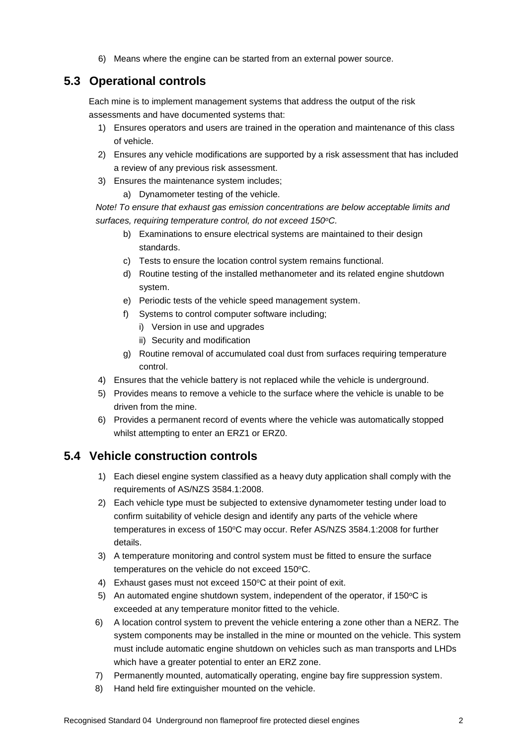6) Means where the engine can be started from an external power source.

### <span id="page-5-0"></span>**5.3 Operational controls**

Each mine is to implement management systems that address the output of the risk assessments and have documented systems that:

- 1) Ensures operators and users are trained in the operation and maintenance of this class of vehicle.
- 2) Ensures any vehicle modifications are supported by a risk assessment that has included a review of any previous risk assessment.
- 3) Ensures the maintenance system includes;
	- a) Dynamometer testing of the vehicle.

*Note! To ensure that exhaust gas emission concentrations are below acceptable limits and surfaces, requiring temperature control, do not exceed 150<sup>o</sup>C.* 

- b) Examinations to ensure electrical systems are maintained to their design standards.
- c) Tests to ensure the location control system remains functional.
- d) Routine testing of the installed methanometer and its related engine shutdown system.
- e) Periodic tests of the vehicle speed management system.
- f) Systems to control computer software including;
	- i) Version in use and upgrades
	- ii) Security and modification
- g) Routine removal of accumulated coal dust from surfaces requiring temperature control.
- 4) Ensures that the vehicle battery is not replaced while the vehicle is underground.
- 5) Provides means to remove a vehicle to the surface where the vehicle is unable to be driven from the mine.
- 6) Provides a permanent record of events where the vehicle was automatically stopped whilst attempting to enter an ERZ1 or ERZ0.

### <span id="page-5-1"></span>**5.4 Vehicle construction controls**

- 1) Each diesel engine system classified as a heavy duty application shall comply with the requirements of AS/NZS 3584.1:2008.
- 2) Each vehicle type must be subjected to extensive dynamometer testing under load to confirm suitability of vehicle design and identify any parts of the vehicle where temperatures in excess of 150°C may occur. Refer AS/NZS 3584.1:2008 for further details.
- 3) A temperature monitoring and control system must be fitted to ensure the surface temperatures on the vehicle do not exceed 150°C.
- 4) Exhaust gases must not exceed 150°C at their point of exit.
- 5) An automated engine shutdown system, independent of the operator, if  $150^{\circ}$ C is exceeded at any temperature monitor fitted to the vehicle.
- 6) A location control system to prevent the vehicle entering a zone other than a NERZ. The system components may be installed in the mine or mounted on the vehicle. This system must include automatic engine shutdown on vehicles such as man transports and LHDs which have a greater potential to enter an ERZ zone.
- 7) Permanently mounted, automatically operating, engine bay fire suppression system.
- 8) Hand held fire extinguisher mounted on the vehicle.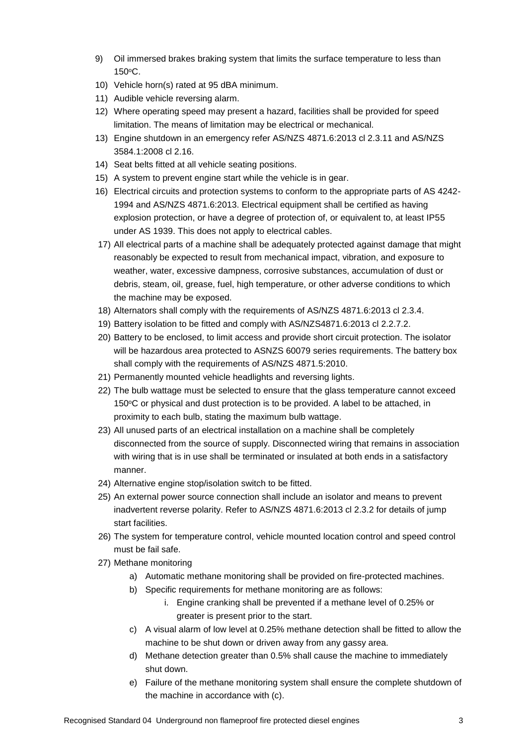- 9) Oil immersed brakes braking system that limits the surface temperature to less than 150<sup>o</sup>C.
- 10) Vehicle horn(s) rated at 95 dBA minimum.
- 11) Audible vehicle reversing alarm.
- 12) Where operating speed may present a hazard, facilities shall be provided for speed limitation. The means of limitation may be electrical or mechanical.
- 13) Engine shutdown in an emergency refer AS/NZS 4871.6:2013 cl 2.3.11 and AS/NZS 3584.1:2008 cl 2.16.
- 14) Seat belts fitted at all vehicle seating positions.
- 15) A system to prevent engine start while the vehicle is in gear.
- 16) Electrical circuits and protection systems to conform to the appropriate parts of AS 4242- 1994 and AS/NZS 4871.6:2013. Electrical equipment shall be certified as having explosion protection, or have a degree of protection of, or equivalent to, at least IP55 under AS 1939. This does not apply to electrical cables.
- 17) All electrical parts of a machine shall be adequately protected against damage that might reasonably be expected to result from mechanical impact, vibration, and exposure to weather, water, excessive dampness, corrosive substances, accumulation of dust or debris, steam, oil, grease, fuel, high temperature, or other adverse conditions to which the machine may be exposed.
- 18) Alternators shall comply with the requirements of AS/NZS 4871.6:2013 cl 2.3.4.
- 19) Battery isolation to be fitted and comply with AS/NZS4871.6:2013 cl 2.2.7.2.
- 20) Battery to be enclosed, to limit access and provide short circuit protection. The isolator will be hazardous area protected to ASNZS 60079 series requirements. The battery box shall comply with the requirements of AS/NZS 4871.5:2010.
- 21) Permanently mounted vehicle headlights and reversing lights.
- 22) The bulb wattage must be selected to ensure that the glass temperature cannot exceed  $150^{\circ}$ C or physical and dust protection is to be provided. A label to be attached, in proximity to each bulb, stating the maximum bulb wattage.
- 23) All unused parts of an electrical installation on a machine shall be completely disconnected from the source of supply. Disconnected wiring that remains in association with wiring that is in use shall be terminated or insulated at both ends in a satisfactory manner.
- 24) Alternative engine stop/isolation switch to be fitted.
- 25) An external power source connection shall include an isolator and means to prevent inadvertent reverse polarity. Refer to AS/NZS 4871.6:2013 cl 2.3.2 for details of jump start facilities.
- 26) The system for temperature control, vehicle mounted location control and speed control must be fail safe.
- 27) Methane monitoring
	- a) Automatic methane monitoring shall be provided on fire-protected machines.
	- b) Specific requirements for methane monitoring are as follows:
		- i. Engine cranking shall be prevented if a methane level of 0.25% or greater is present prior to the start.
	- c) A visual alarm of low level at 0.25% methane detection shall be fitted to allow the machine to be shut down or driven away from any gassy area.
	- d) Methane detection greater than 0.5% shall cause the machine to immediately shut down.
	- e) Failure of the methane monitoring system shall ensure the complete shutdown of the machine in accordance with (c).